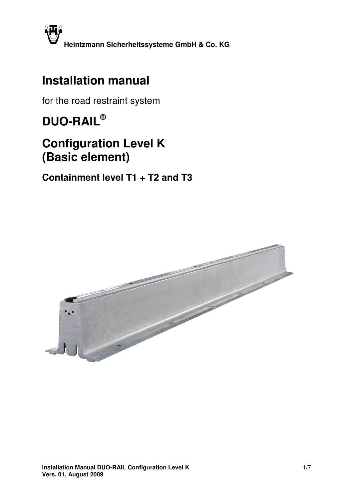

## **Installation manual**

for the road restraint system

# **DUO-RAIL®**

## **Configuration Level K (Basic element)**

**Containment level T1 + T2 and T3** 

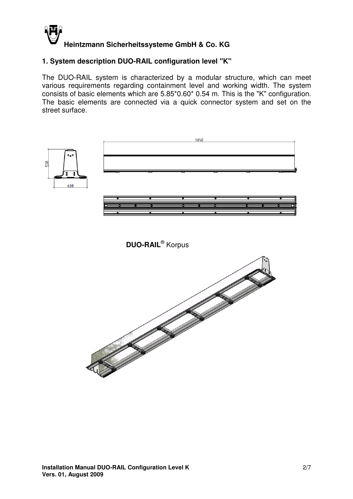

#### **1. System description DUO-RAIL configuration level "K"**

The DUO-RAIL system is characterized by a modular structure, which can meet various requirements regarding containment level and working width. The system consists of basic elements which are 5.85\*0.60\* 0.54 m. This is the "K" configuration. The basic elements are connected via a quick connector system and set on the street surface.

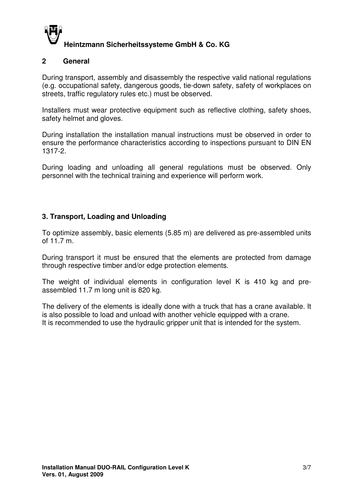

#### **2 General**

During transport, assembly and disassembly the respective valid national regulations (e.g. occupational safety, dangerous goods, tie-down safety, safety of workplaces on streets, traffic regulatory rules etc.) must be observed.

Installers must wear protective equipment such as reflective clothing, safety shoes, safety helmet and gloves.

During installation the installation manual instructions must be observed in order to ensure the performance characteristics according to inspections pursuant to DIN EN 1317-2.

During loading and unloading all general regulations must be observed. Only personnel with the technical training and experience will perform work.

#### **3. Transport, Loading and Unloading**

To optimize assembly, basic elements (5.85 m) are delivered as pre-assembled units of 11.7 m.

During transport it must be ensured that the elements are protected from damage through respective timber and/or edge protection elements.

The weight of individual elements in configuration level K is 410 kg and preassembled 11.7 m long unit is 820 kg.

The delivery of the elements is ideally done with a truck that has a crane available. It is also possible to load and unload with another vehicle equipped with a crane. It is recommended to use the hydraulic gripper unit that is intended for the system.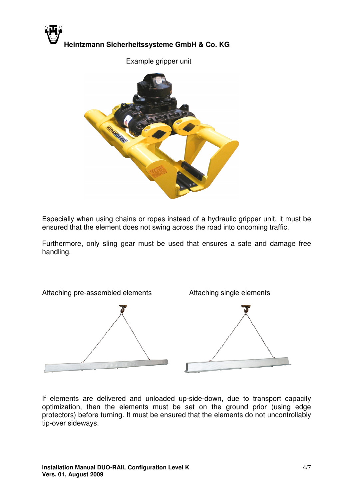

Example gripper unit



Especially when using chains or ropes instead of a hydraulic gripper unit, it must be ensured that the element does not swing across the road into oncoming traffic.

Furthermore, only sling gear must be used that ensures a safe and damage free handling.



If elements are delivered and unloaded up-side-down, due to transport capacity optimization, then the elements must be set on the ground prior (using edge protectors) before turning. It must be ensured that the elements do not uncontrollably tip-over sideways.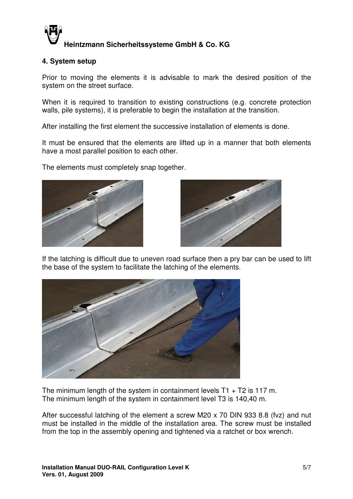

#### **4. System setup**

Prior to moving the elements it is advisable to mark the desired position of the system on the street surface.

When it is required to transition to existing constructions (e.g. concrete protection walls, pile systems), it is preferable to begin the installation at the transition.

After installing the first element the successive installation of elements is done.

It must be ensured that the elements are lifted up in a manner that both elements have a most parallel position to each other.

The elements must completely snap together.





If the latching is difficult due to uneven road surface then a pry bar can be used to lift the base of the system to facilitate the latching of the elements.



The minimum length of the system in containment levels  $T1 + T2$  is 117 m. The minimum length of the system in containment level T3 is 140,40 m.

After successful latching of the element a screw M20 x 70 DIN 933 8.8 (fvz) and nut must be installed in the middle of the installation area. The screw must be installed from the top in the assembly opening and tightened via a ratchet or box wrench.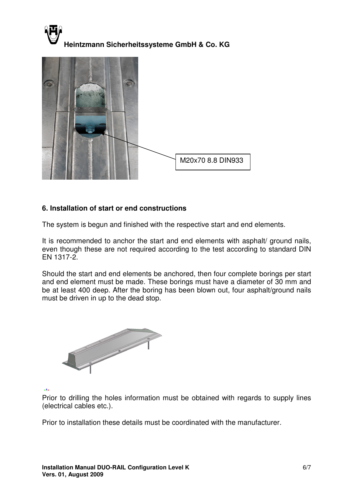



#### **6. Installation of start or end constructions**

The system is begun and finished with the respective start and end elements.

It is recommended to anchor the start and end elements with asphalt/ ground nails, even though these are not required according to the test according to standard DIN EN 1317-2.

Should the start and end elements be anchored, then four complete borings per start and end element must be made. These borings must have a diameter of 30 mm and be at least 400 deep. After the boring has been blown out, four asphalt/ground nails must be driven in up to the dead stop.



 $\mathbf{r}$ 

Prior to drilling the holes information must be obtained with regards to supply lines (electrical cables etc.).

Prior to installation these details must be coordinated with the manufacturer.